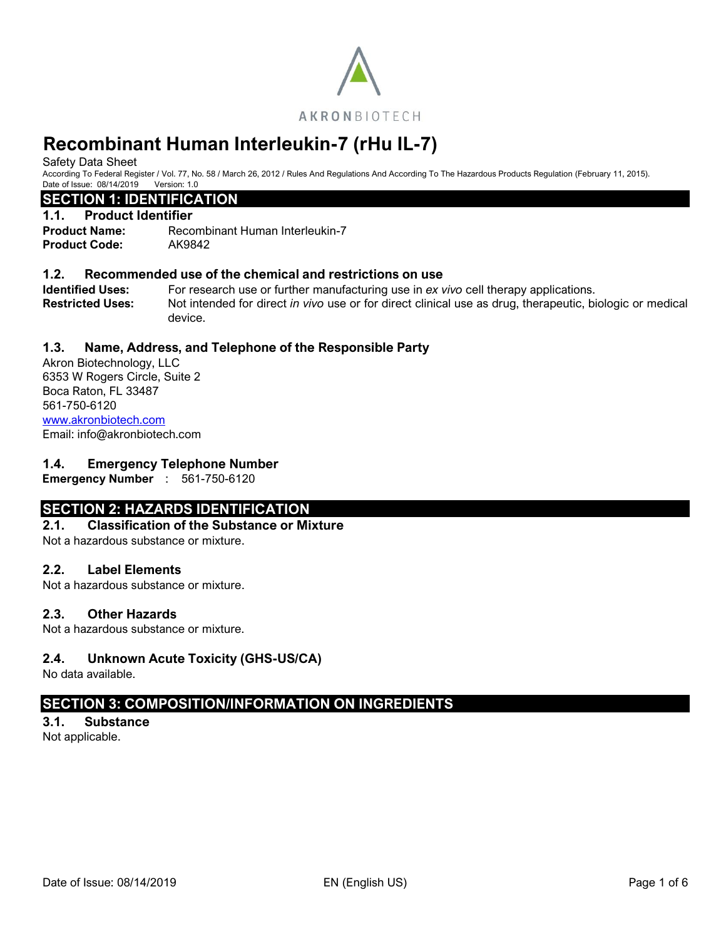

Safety Data Sheet

According To Federal Register / Vol. 77, No. 58 / March 26, 2012 / Rules And Regulations And According To The Hazardous Products Regulation (February 11, 2015). Date of Issue: 08/14/2019 Version: 1.0

# **SECTION 1: IDENTIFICATION**

## **1.1. Product Identifier**

**Product Name:** Recombinant Human Interleukin-7 **Product Code:** AK9842

## **1.2. Recommended use of the chemical and restrictions on use**

**Identified Uses:** For research use or further manufacturing use in *ex vivo* cell therapy applications. **Restricted Uses:** Not intended for direct *in vivo* use or for direct clinical use as drug, therapeutic, biologic or medical device.

# **1.3. Name, Address, and Telephone of the Responsible Party**

Akron Biotechnology, LLC 6353 W Rogers Circle, Suite 2 Boca Raton, FL 33487 561-750-6120 [www.akronbiotech.com](http://www.akronbiotech.com/%3c/a) Email: info@akronbiotech.com

# **1.4. Emergency Telephone Number**

**Emergency Number** : 561-750-6120

# **SECTION 2: HAZARDS IDENTIFICATION**

## **2.1. Classification of the Substance or Mixture**

Not a hazardous substance or mixture.

## **2.2. Label Elements**

Not a hazardous substance or mixture.

## **2.3. Other Hazards**

Not a hazardous substance or mixture.

# **2.4. Unknown Acute Toxicity (GHS-US/CA)**

No data available.

# **SECTION 3: COMPOSITION/INFORMATION ON INGREDIENTS**

**3.1. Substance** Not applicable.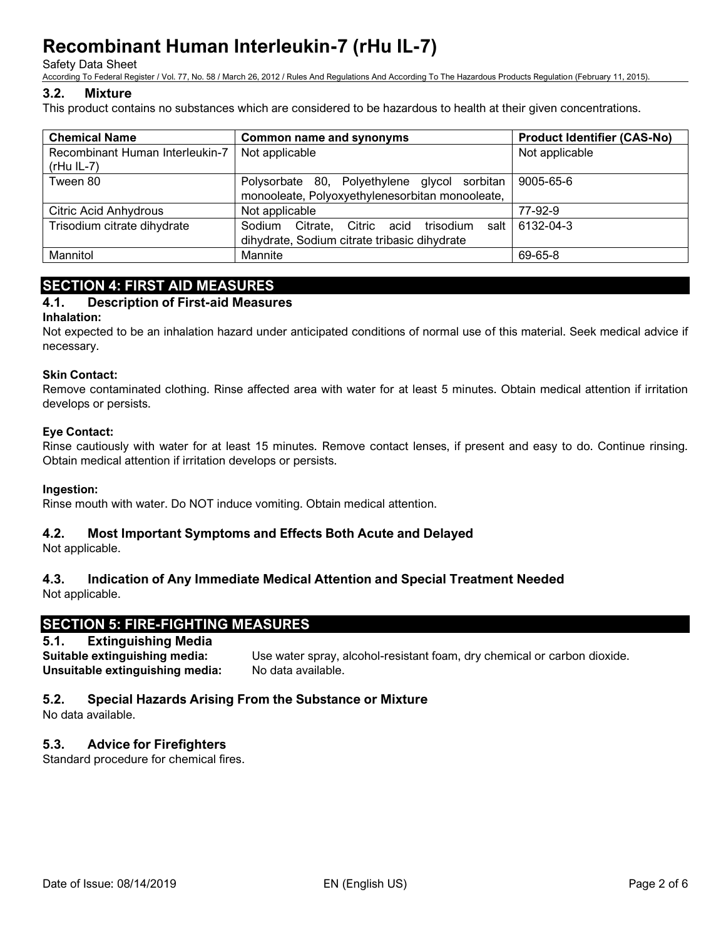Safety Data Sheet

According To Federal Register / Vol. 77, No. 58 / March 26, 2012 / Rules And Regulations And According To The Hazardous Products Regulation (February 11, 2015).

## **3.2. Mixture**

This product contains no substances which are considered to be hazardous to health at their given concentrations.

| <b>Chemical Name</b>                            | <b>Common name and synonyms</b>                                                                 | <b>Product Identifier (CAS-No)</b> |
|-------------------------------------------------|-------------------------------------------------------------------------------------------------|------------------------------------|
| Recombinant Human Interleukin-7<br>$(rHu IL-7)$ | Not applicable                                                                                  | Not applicable                     |
| Tween 80                                        | Polysorbate 80, Polyethylene glycol sorbitan<br>monooleate, Polyoxyethylenesorbitan monooleate, | 9005-65-6                          |
| <b>Citric Acid Anhydrous</b>                    | Not applicable                                                                                  | 77-92-9                            |
| Trisodium citrate dihydrate                     | Sodium Citrate, Citric acid<br>trisodium salt l<br>dihydrate, Sodium citrate tribasic dihydrate | 6132-04-3                          |
| Mannitol                                        | Mannite                                                                                         | 69-65-8                            |

# **SECTION 4: FIRST AID MEASURES**

# **4.1. Description of First-aid Measures**

## **Inhalation:**

Not expected to be an inhalation hazard under anticipated conditions of normal use of this material. Seek medical advice if necessary.

## **Skin Contact:**

Remove contaminated clothing. Rinse affected area with water for at least 5 minutes. Obtain medical attention if irritation develops or persists.

## **Eye Contact:**

Rinse cautiously with water for at least 15 minutes. Remove contact lenses, if present and easy to do. Continue rinsing. Obtain medical attention if irritation develops or persists.

#### **Ingestion:**

Rinse mouth with water. Do NOT induce vomiting. Obtain medical attention.

# **4.2. Most Important Symptoms and Effects Both Acute and Delayed**

Not applicable.

# **4.3. Indication of Any Immediate Medical Attention and Special Treatment Needed**

Not applicable.

# **SECTION 5: FIRE-FIGHTING MEASURES**

# **5.1. Extinguishing Media**

**Suitable extinguishing media:** Use water spray, alcohol-resistant foam, dry chemical or carbon dioxide. **Unsuitable extinguishing media:** No data available.

## **5.2. Special Hazards Arising From the Substance or Mixture**

No data available.

# **5.3. Advice for Firefighters**

Standard procedure for chemical fires.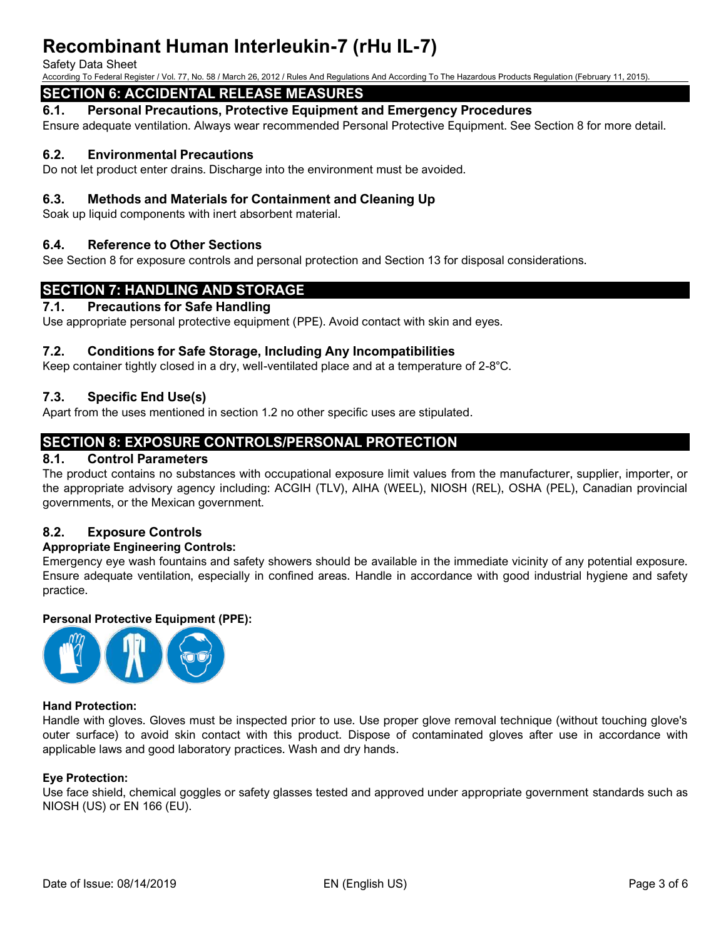#### Safety Data Sheet

According To Federal Register / Vol. 77, No. 58 / March 26, 2012 / Rules And Regulations And According To The Hazardous Products Regulation (February 11, 2015).

# **SECTION 6: ACCIDENTAL RELEASE MEASURES**

**6.1. Personal Precautions, Protective Equipment and Emergency Procedures**

Ensure adequate ventilation. Always wear recommended Personal Protective Equipment. See Section 8 for more detail.

## **6.2. Environmental Precautions**

Do not let product enter drains. Discharge into the environment must be avoided.

## **6.3. Methods and Materials for Containment and Cleaning Up**

Soak up liquid components with inert absorbent material.

## **6.4. Reference to Other Sections**

See Section 8 for exposure controls and personal protection and Section 13 for disposal considerations.

# **SECTION 7: HANDLING AND STORAGE**

#### **7.1. Precautions for Safe Handling**

Use appropriate personal protective equipment (PPE). Avoid contact with skin and eyes.

## **7.2. Conditions for Safe Storage, Including Any Incompatibilities**

Keep container tightly closed in a dry, well-ventilated place and at a temperature of 2-8°C.

## **7.3. Specific End Use(s)**

Apart from the uses mentioned in section 1.2 no other specific uses are stipulated.

# **SECTION 8: EXPOSURE CONTROLS/PERSONAL PROTECTION**

## **8.1. Control Parameters**

The product contains no substances with occupational exposure limit values from the manufacturer, supplier, importer, or the appropriate advisory agency including: ACGIH (TLV), AIHA (WEEL), NIOSH (REL), OSHA (PEL), Canadian provincial governments, or the Mexican government.

# **8.2. Exposure Controls**

## **Appropriate Engineering Controls:**

Emergency eye wash fountains and safety showers should be available in the immediate vicinity of any potential exposure. Ensure adequate ventilation, especially in confined areas. Handle in accordance with good industrial hygiene and safety practice.

## **Personal Protective Equipment (PPE):**



#### **Hand Protection:**

Handle with gloves. Gloves must be inspected prior to use. Use proper glove removal technique (without touching glove's outer surface) to avoid skin contact with this product. Dispose of contaminated gloves after use in accordance with applicable laws and good laboratory practices. Wash and dry hands.

#### **Eye Protection:**

Use face shield, chemical goggles or safety glasses tested and approved under appropriate government standards such as NIOSH (US) or EN 166 (EU).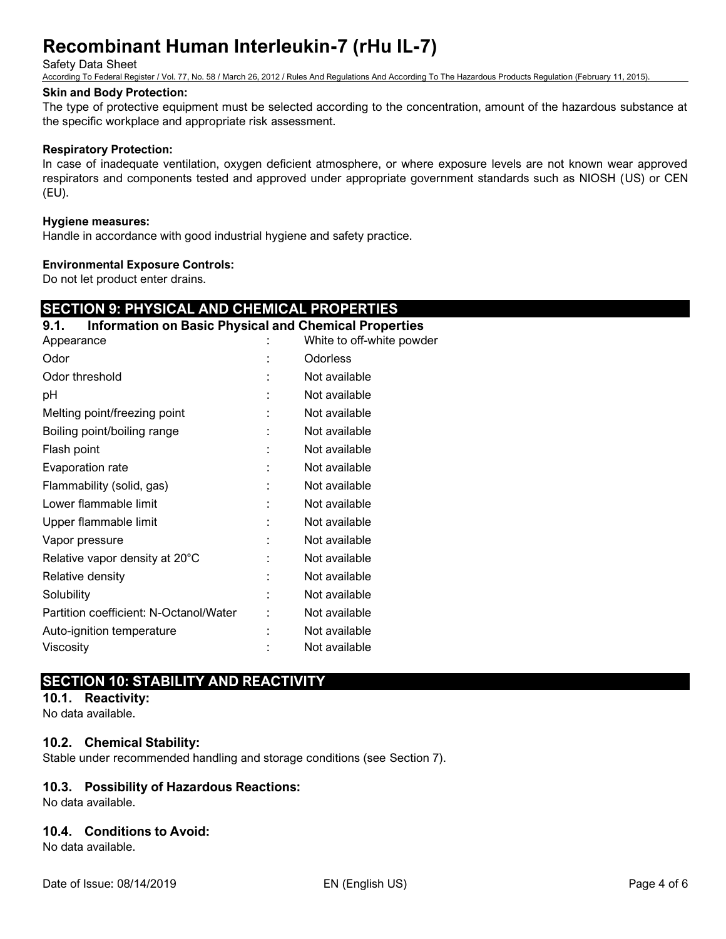Safety Data Sheet

According To Federal Register / Vol. 77, No. 58 / March 26, 2012 / Rules And Regulations And According To The Hazardous Products Regulation (February 11, 2015).

#### **Skin and Body Protection:**

The type of protective equipment must be selected according to the concentration, amount of the hazardous substance at the specific workplace and appropriate risk assessment.

### **Respiratory Protection:**

In case of inadequate ventilation, oxygen deficient atmosphere, or where exposure levels are not known wear approved respirators and components tested and approved under appropriate government standards such as NIOSH (US) or CEN (EU).

#### **Hygiene measures:**

Handle in accordance with good industrial hygiene and safety practice.

#### **Environmental Exposure Controls:**

Do not let product enter drains.

# **SECTION 9: PHYSICAL AND CHEMICAL PROPERTIES**

# **9.1. Information on Basic Physical and Chemical Properties**

| Appearance                             | White to off-white powder |
|----------------------------------------|---------------------------|
| Odor                                   | <b>Odorless</b>           |
| Odor threshold                         | Not available             |
| рH                                     | Not available             |
| Melting point/freezing point           | Not available             |
| Boiling point/boiling range            | Not available             |
| Flash point                            | Not available             |
| Evaporation rate                       | Not available             |
| Flammability (solid, gas)              | Not available             |
| Lower flammable limit                  | Not available             |
| Upper flammable limit                  | Not available             |
| Vapor pressure                         | Not available             |
| Relative vapor density at 20°C         | Not available             |
| Relative density                       | Not available             |
| Solubility                             | Not available             |
| Partition coefficient: N-Octanol/Water | Not available             |
| Auto-ignition temperature              | Not available             |
| Viscosity                              | Not available             |

# **SECTION 10: STABILITY AND REACTIVITY**

**10.1. Reactivity:**

No data available.

## **10.2. Chemical Stability:**

Stable under recommended handling and storage conditions (see Section 7).

## **10.3. Possibility of Hazardous Reactions:**

No data available.

## **10.4. Conditions to Avoid:**

No data available.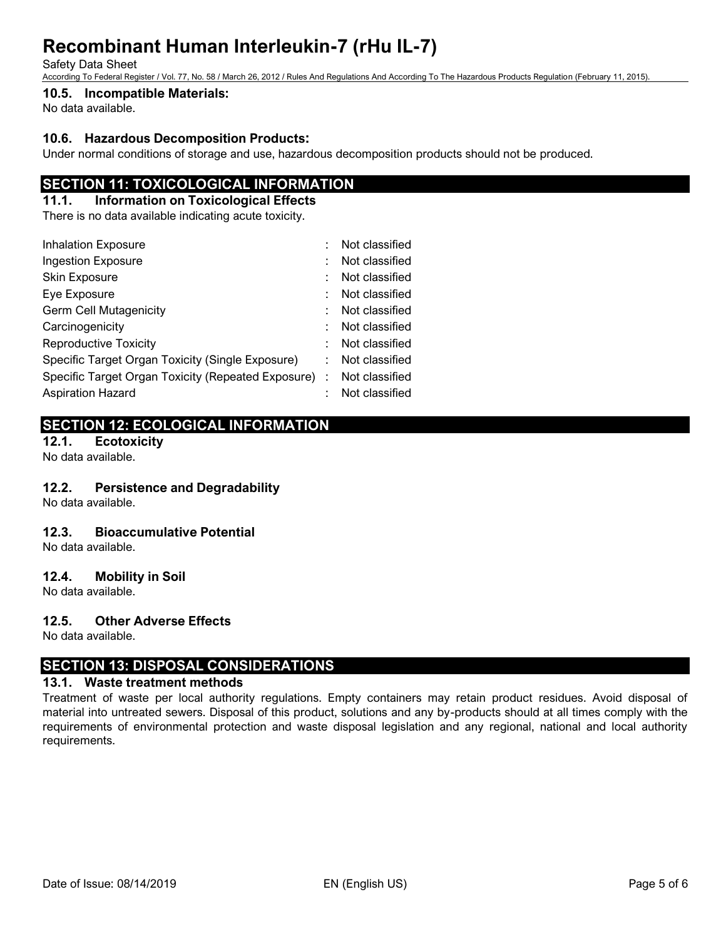Safety Data Sheet

According To Federal Register / Vol. 77, No. 58 / March 26, 2012 / Rules And Regulations And According To The Hazardous Products Regulation (February 11, 2015).

# **10.5. Incompatible Materials:**

No data available.

## **10.6. Hazardous Decomposition Products:**

Under normal conditions of storage and use, hazardous decomposition products should not be produced.

# **SECTION 11: TOXICOLOGICAL INFORMATION**

## **11.1. Information on Toxicological Effects**

There is no data available indicating acute toxicity.

| <b>Inhalation Exposure</b>                           |  | Not classified |
|------------------------------------------------------|--|----------------|
| <b>Ingestion Exposure</b>                            |  | Not classified |
| Skin Exposure                                        |  | Not classified |
| Eye Exposure                                         |  | Not classified |
| <b>Germ Cell Mutagenicity</b>                        |  | Not classified |
| Carcinogenicity                                      |  | Not classified |
| <b>Reproductive Toxicity</b>                         |  | Not classified |
| Specific Target Organ Toxicity (Single Exposure)     |  | Not classified |
| Specific Target Organ Toxicity (Repeated Exposure) : |  | Not classified |
| <b>Aspiration Hazard</b>                             |  | Not classified |

# **SECTION 12: ECOLOGICAL INFORMATION**

**12.1. Ecotoxicity**

# No data available.

# **12.2. Persistence and Degradability**

No data available.

## **12.3. Bioaccumulative Potential**

No data available.

## **12.4. Mobility in Soil**

No data available.

## **12.5. Other Adverse Effects**

No data available.

# **SECTION 13: DISPOSAL CONSIDERATIONS**

## **13.1. Waste treatment methods**

Treatment of waste per local authority regulations. Empty containers may retain product residues. Avoid disposal of material into untreated sewers. Disposal of this product, solutions and any by-products should at all times comply with the requirements of environmental protection and waste disposal legislation and any regional, national and local authority requirements.